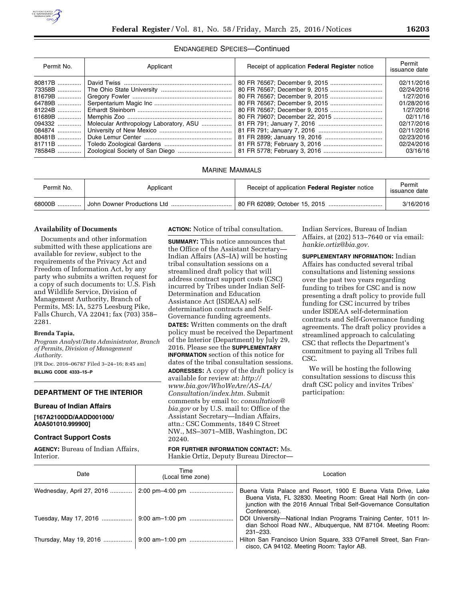

### ENDANGERED SPECIES—Continued

| Permit No. | Applicant                              | Receipt of application Federal Register notice | Permit<br>issuance date |
|------------|----------------------------------------|------------------------------------------------|-------------------------|
| 80817B     |                                        |                                                | 02/11/2016              |
| 73358B     |                                        |                                                | 02/24/2016              |
| 81679B     |                                        |                                                | 1/27/2016               |
| 64789B     |                                        |                                                | 01/28/2016              |
| 81224B     |                                        |                                                | 1/27/2016               |
| 61689B     |                                        |                                                | 02/11/16                |
| 094332     | Molecular Anthropology Laboratory, ASU |                                                | 02/17/2016              |
| 084874     |                                        |                                                | 02/11/2016              |
| 80481B     |                                        |                                                | 02/23/2016              |
| 81711B     |                                        |                                                | 02/24/2016              |
| 78584B     |                                        |                                                | 03/16/16                |

# MARINE MAMMALS

| Permit No. | Applicant                   | Receipt of application <b>Federal Register</b> notice | Permit<br>issuance date |
|------------|-----------------------------|-------------------------------------------------------|-------------------------|
| 68000B     | John Downer Productions Ltd |                                                       | 3/16/2016               |

## **Availability of Documents**

Documents and other information submitted with these applications are available for review, subject to the requirements of the Privacy Act and Freedom of Information Act, by any party who submits a written request for a copy of such documents to: U.S. Fish and Wildlife Service, Division of Management Authority, Branch of Permits, MS: IA, 5275 Leesburg Pike, Falls Church, VA 22041; fax (703) 358– 2281.

## **Brenda Tapia,**

*Program Analyst/Data Administrator, Branch of Permits, Division of Management Authority.* 

[FR Doc. 2016–06787 Filed 3–24–16; 8:45 am] **BILLING CODE 4333–15–P** 

# **DEPARTMENT OF THE INTERIOR**

#### **Bureau of Indian Affairs**

**[167A2100DD/AADD001000/ A0A501010.999900]** 

### **Contract Support Costs**

**AGENCY:** Bureau of Indian Affairs, Interior.

**ACTION:** Notice of tribal consultation.

**SUMMARY:** This notice announces that the Office of the Assistant Secretary— Indian Affairs (AS–IA) will be hosting tribal consultation sessions on a streamlined draft policy that will address contract support costs (CSC) incurred by Tribes under Indian Self-Determination and Education Assistance Act (ISDEAA) selfdetermination contracts and Self-Governance funding agreements.

**DATES:** Written comments on the draft policy must be received the Department of the Interior (Department) by July 29, 2016. Please see the **SUPPLEMENTARY INFORMATION** section of this notice for dates of the tribal consultation sessions. **ADDRESSES:** A copy of the draft policy is available for review at: *[http://](http://www.bia.gov/WhoWeAre/AS-IA/Consultation/index.htm) [www.bia.gov/WhoWeAre/AS–IA/](http://www.bia.gov/WhoWeAre/AS-IA/Consultation/index.htm) [Consultation/index.htm.](http://www.bia.gov/WhoWeAre/AS-IA/Consultation/index.htm)* Submit comments by email to: *[consultation@](mailto:consultation@bia.gov) [bia.gov](mailto:consultation@bia.gov)* or by U.S. mail to: Office of the Assistant Secretary—Indian Affairs, attn.: CSC Comments, 1849 C Street NW., MS–3071–MIB, Washington, DC 20240.

**FOR FURTHER INFORMATION CONTACT:** Ms. Hankie Ortiz, Deputy Bureau DirectorIndian Services, Bureau of Indian Affairs, at (202) 513–7640 or via email: *[hankie.ortiz@bia.gov.](mailto:hankie.ortiz@bia.gov)* 

**SUPPLEMENTARY INFORMATION:** Indian Affairs has conducted several tribal consultations and listening sessions over the past two years regarding funding to tribes for CSC and is now presenting a draft policy to provide full funding for CSC incurred by tribes under ISDEAA self-determination contracts and Self-Governance funding agreements. The draft policy provides a streamlined approach to calculating CSC that reflects the Department's commitment to paying all Tribes full CSC.

We will be hosting the following consultation sessions to discuss this draft CSC policy and invites Tribes' participation:

| Date                      | Time<br>(Local time zone) | Location                                                                                                                                                                                                             |
|---------------------------|---------------------------|----------------------------------------------------------------------------------------------------------------------------------------------------------------------------------------------------------------------|
| Wednesday, April 27, 2016 | 2:00 pm-4:00 pm           | Buena Vista Palace and Resort, 1900 E Buena Vista Drive, Lake<br>Buena Vista, FL 32830. Meeting Room: Great Hall North (in con-<br>junction with the 2016 Annual Tribal Self-Governance Consultation<br>Conference). |
| Tuesday, May 17, 2016     |                           | DOI University-National Indian Programs Training Center, 1011 In-<br>dian School Road NW., Albuquerque, NM 87104. Meeting Room:<br>$231 - 233$ .                                                                     |
|                           |                           | Hilton San Francisco Union Square, 333 O'Farrell Street, San Fran-<br>cisco, CA 94102. Meeting Room: Taylor AB.                                                                                                      |